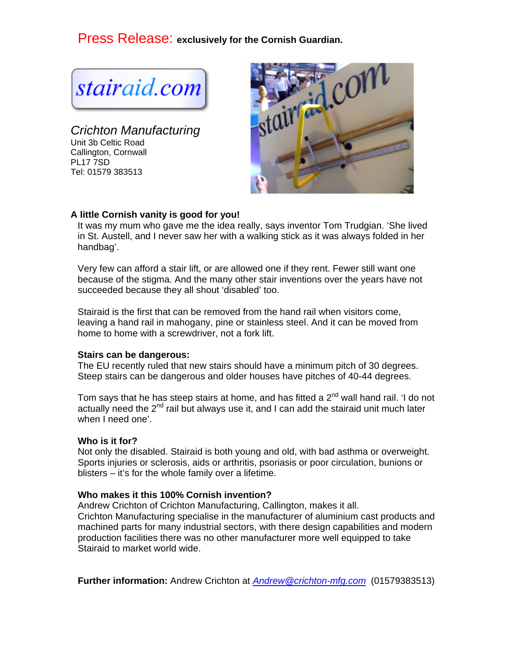Press Release: **exclusively for the Cornish Guardian.** 

stairaid.com

*Crichton Manufacturing*  Unit 3b Celtic Road Callington, Cornwall PL17 7SD Tel: 01579 383513



# **A little Cornish vanity is good for you!**

It was my mum who gave me the idea really, says inventor Tom Trudgian. 'She lived in St. Austell, and I never saw her with a walking stick as it was always folded in her handbag'.

Very few can afford a stair lift, or are allowed one if they rent. Fewer still want one because of the stigma. And the many other stair inventions over the years have not succeeded because they all shout 'disabled' too.

Stairaid is the first that can be removed from the hand rail when visitors come, leaving a hand rail in mahogany, pine or stainless steel. And it can be moved from home to home with a screwdriver, not a fork lift.

#### **Stairs can be dangerous:**

The EU recently ruled that new stairs should have a minimum pitch of 30 degrees. Steep stairs can be dangerous and older houses have pitches of 40-44 degrees.

Tom says that he has steep stairs at home, and has fitted a  $2^{nd}$  wall hand rail. 'I do not actually need the  $2^{nd}$  rail but always use it, and I can add the stairaid unit much later when I need one'.

#### **Who is it for?**

Not only the disabled. Stairaid is both young and old, with bad asthma or overweight. Sports injuries or sclerosis, aids or arthritis, psoriasis or poor circulation, bunions or blisters – it's for the whole family over a lifetime.

### **Who makes it this 100% Cornish invention?**

Andrew Crichton of Crichton Manufacturing, Callington, makes it all. Crichton Manufacturing specialise in the manufacturer of aluminium cast products and machined parts for many industrial sectors, with there design capabilities and modern production facilities there was no other manufacturer more well equipped to take Stairaid to market world wide.

**Further information:** Andrew Crichton at *Andrew@crichton-mfg.com* (01579383513)